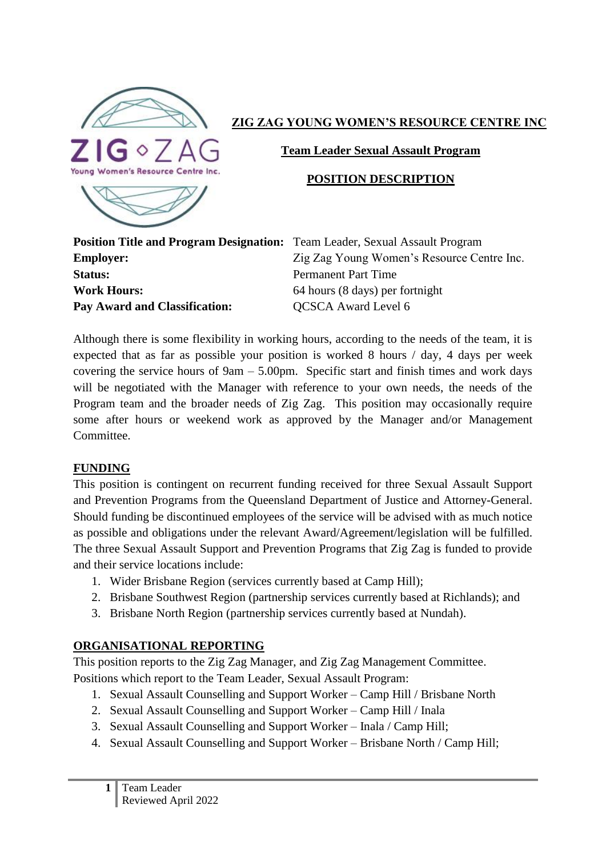

#### **ZIG ZAG YOUNG WOMEN'S RESOURCE CENTRE INC**

**Team Leader Sexual Assault Program**

#### **POSITION DESCRIPTION**

| <b>Position Title and Program Designation</b> |  |
|-----------------------------------------------|--|
| <b>Employer:</b>                              |  |
| Status:                                       |  |
| <b>Work Hours:</b>                            |  |
| Pav Award and Classification:                 |  |

**n:** Team Leader, Sexual Assault Program Zig Zag Young Women's Resource Centre Inc. Permanent Part Time **Work Hours:** 64 hours (8 days) per fortnight **PAY Award Level 6** 

Although there is some flexibility in working hours, according to the needs of the team, it is expected that as far as possible your position is worked 8 hours / day, 4 days per week covering the service hours of 9am – 5.00pm. Specific start and finish times and work days will be negotiated with the Manager with reference to your own needs, the needs of the Program team and the broader needs of Zig Zag. This position may occasionally require some after hours or weekend work as approved by the Manager and/or Management Committee.

#### **FUNDING**

This position is contingent on recurrent funding received for three Sexual Assault Support and Prevention Programs from the Queensland Department of Justice and Attorney-General. Should funding be discontinued employees of the service will be advised with as much notice as possible and obligations under the relevant Award/Agreement/legislation will be fulfilled. The three Sexual Assault Support and Prevention Programs that Zig Zag is funded to provide and their service locations include:

- 1. Wider Brisbane Region (services currently based at Camp Hill);
- 2. Brisbane Southwest Region (partnership services currently based at Richlands); and
- 3. Brisbane North Region (partnership services currently based at Nundah).

# **ORGANISATIONAL REPORTING**

This position reports to the Zig Zag Manager, and Zig Zag Management Committee. Positions which report to the Team Leader, Sexual Assault Program:

- 1. Sexual Assault Counselling and Support Worker Camp Hill / Brisbane North
- 2. Sexual Assault Counselling and Support Worker Camp Hill / Inala
- 3. Sexual Assault Counselling and Support Worker Inala / Camp Hill;
- 4. Sexual Assault Counselling and Support Worker Brisbane North / Camp Hill;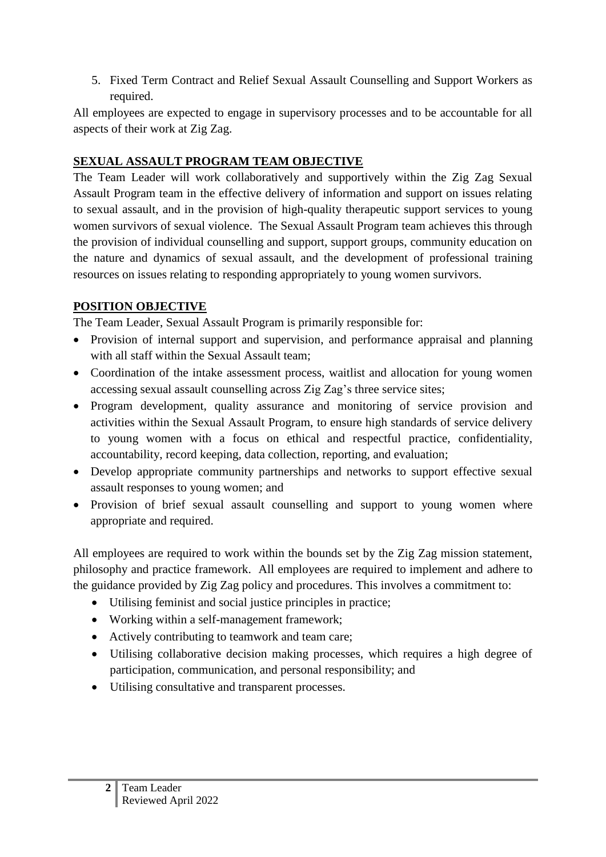5. Fixed Term Contract and Relief Sexual Assault Counselling and Support Workers as required.

All employees are expected to engage in supervisory processes and to be accountable for all aspects of their work at Zig Zag.

# **SEXUAL ASSAULT PROGRAM TEAM OBJECTIVE**

The Team Leader will work collaboratively and supportively within the Zig Zag Sexual Assault Program team in the effective delivery of information and support on issues relating to sexual assault, and in the provision of high-quality therapeutic support services to young women survivors of sexual violence. The Sexual Assault Program team achieves this through the provision of individual counselling and support, support groups, community education on the nature and dynamics of sexual assault, and the development of professional training resources on issues relating to responding appropriately to young women survivors.

### **POSITION OBJECTIVE**

The Team Leader, Sexual Assault Program is primarily responsible for:

- Provision of internal support and supervision, and performance appraisal and planning with all staff within the Sexual Assault team;
- Coordination of the intake assessment process, waitlist and allocation for young women accessing sexual assault counselling across Zig Zag's three service sites;
- Program development, quality assurance and monitoring of service provision and activities within the Sexual Assault Program, to ensure high standards of service delivery to young women with a focus on ethical and respectful practice, confidentiality, accountability, record keeping, data collection, reporting, and evaluation;
- Develop appropriate community partnerships and networks to support effective sexual assault responses to young women; and
- Provision of brief sexual assault counselling and support to young women where appropriate and required.

All employees are required to work within the bounds set by the Zig Zag mission statement, philosophy and practice framework. All employees are required to implement and adhere to the guidance provided by Zig Zag policy and procedures. This involves a commitment to:

- Utilising feminist and social justice principles in practice;
- Working within a self-management framework;
- Actively contributing to teamwork and team care;
- Utilising collaborative decision making processes, which requires a high degree of participation, communication, and personal responsibility; and
- Utilising consultative and transparent processes.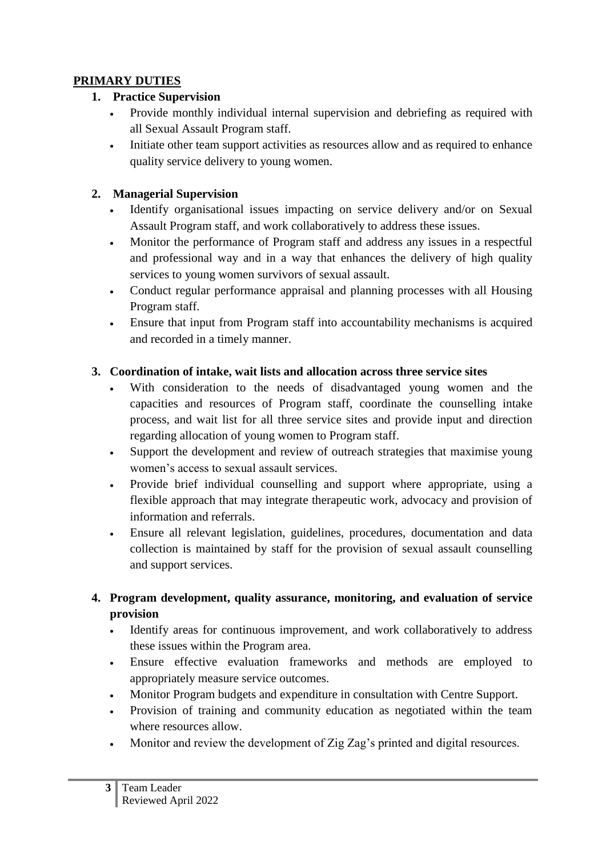### **PRIMARY DUTIES**

### **1. Practice Supervision**

- Provide monthly individual internal supervision and debriefing as required with all Sexual Assault Program staff.
- Initiate other team support activities as resources allow and as required to enhance quality service delivery to young women.

# **2. Managerial Supervision**

- Identify organisational issues impacting on service delivery and/or on Sexual Assault Program staff, and work collaboratively to address these issues.
- Monitor the performance of Program staff and address any issues in a respectful and professional way and in a way that enhances the delivery of high quality services to young women survivors of sexual assault.
- Conduct regular performance appraisal and planning processes with all Housing Program staff.
- Ensure that input from Program staff into accountability mechanisms is acquired and recorded in a timely manner.

### **3. Coordination of intake, wait lists and allocation across three service sites**

- With consideration to the needs of disadvantaged young women and the capacities and resources of Program staff, coordinate the counselling intake process, and wait list for all three service sites and provide input and direction regarding allocation of young women to Program staff.
- Support the development and review of outreach strategies that maximise young women's access to sexual assault services.
- Provide brief individual counselling and support where appropriate, using a flexible approach that may integrate therapeutic work, advocacy and provision of information and referrals.
- Ensure all relevant legislation, guidelines, procedures, documentation and data collection is maintained by staff for the provision of sexual assault counselling and support services.

# **4. Program development, quality assurance, monitoring, and evaluation of service provision**

- Identify areas for continuous improvement, and work collaboratively to address these issues within the Program area.
- Ensure effective evaluation frameworks and methods are employed to appropriately measure service outcomes.
- Monitor Program budgets and expenditure in consultation with Centre Support.
- Provision of training and community education as negotiated within the team where resources allow.
- Monitor and review the development of Zig Zag's printed and digital resources.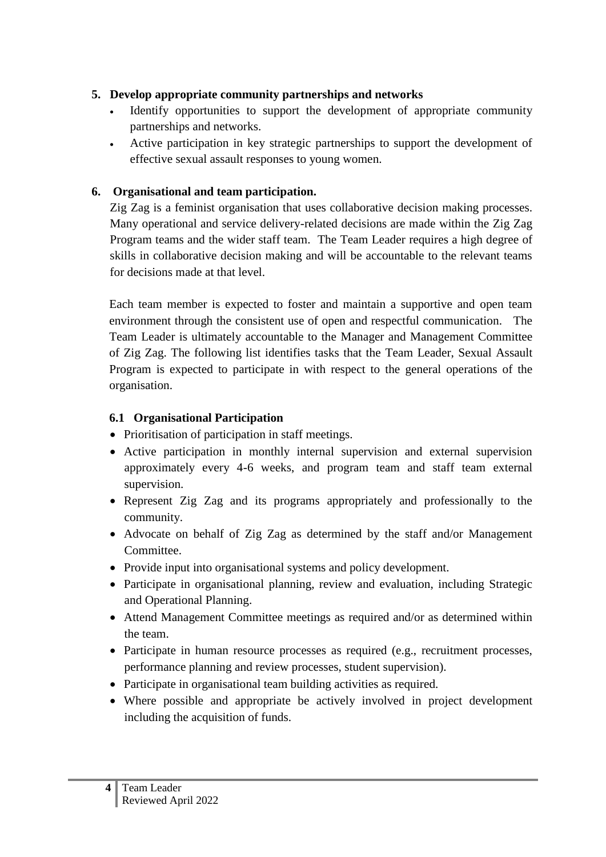#### **5. Develop appropriate community partnerships and networks**

- Identify opportunities to support the development of appropriate community partnerships and networks.
- Active participation in key strategic partnerships to support the development of effective sexual assault responses to young women.

# **6. Organisational and team participation.**

Zig Zag is a feminist organisation that uses collaborative decision making processes. Many operational and service delivery-related decisions are made within the Zig Zag Program teams and the wider staff team. The Team Leader requires a high degree of skills in collaborative decision making and will be accountable to the relevant teams for decisions made at that level.

Each team member is expected to foster and maintain a supportive and open team environment through the consistent use of open and respectful communication. The Team Leader is ultimately accountable to the Manager and Management Committee of Zig Zag. The following list identifies tasks that the Team Leader, Sexual Assault Program is expected to participate in with respect to the general operations of the organisation.

# **6.1 Organisational Participation**

- Prioritisation of participation in staff meetings.
- Active participation in monthly internal supervision and external supervision approximately every 4-6 weeks, and program team and staff team external supervision.
- Represent Zig Zag and its programs appropriately and professionally to the community.
- Advocate on behalf of Zig Zag as determined by the staff and/or Management Committee.
- Provide input into organisational systems and policy development.
- Participate in organisational planning, review and evaluation, including Strategic and Operational Planning.
- Attend Management Committee meetings as required and/or as determined within the team.
- Participate in human resource processes as required (e.g., recruitment processes, performance planning and review processes, student supervision).
- Participate in organisational team building activities as required.
- Where possible and appropriate be actively involved in project development including the acquisition of funds.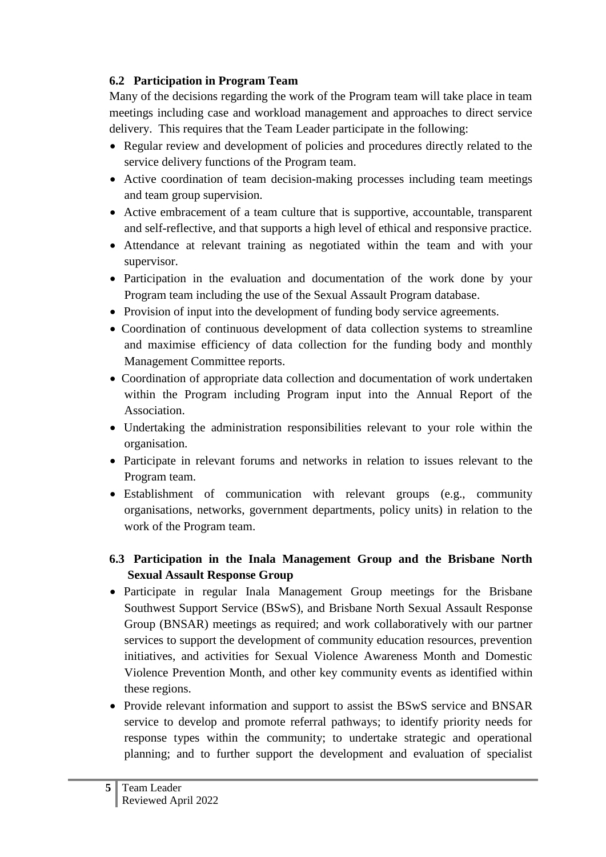### **6.2 Participation in Program Team**

Many of the decisions regarding the work of the Program team will take place in team meetings including case and workload management and approaches to direct service delivery. This requires that the Team Leader participate in the following:

- Regular review and development of policies and procedures directly related to the service delivery functions of the Program team.
- Active coordination of team decision-making processes including team meetings and team group supervision.
- Active embracement of a team culture that is supportive, accountable, transparent and self-reflective, and that supports a high level of ethical and responsive practice.
- Attendance at relevant training as negotiated within the team and with your supervisor.
- Participation in the evaluation and documentation of the work done by your Program team including the use of the Sexual Assault Program database.
- Provision of input into the development of funding body service agreements.
- Coordination of continuous development of data collection systems to streamline and maximise efficiency of data collection for the funding body and monthly Management Committee reports.
- Coordination of appropriate data collection and documentation of work undertaken within the Program including Program input into the Annual Report of the Association.
- Undertaking the administration responsibilities relevant to your role within the organisation.
- Participate in relevant forums and networks in relation to issues relevant to the Program team.
- Establishment of communication with relevant groups (e.g., community organisations, networks, government departments, policy units) in relation to the work of the Program team.

### **6.3 Participation in the Inala Management Group and the Brisbane North Sexual Assault Response Group**

- Participate in regular Inala Management Group meetings for the Brisbane Southwest Support Service (BSwS), and Brisbane North Sexual Assault Response Group (BNSAR) meetings as required; and work collaboratively with our partner services to support the development of community education resources, prevention initiatives, and activities for Sexual Violence Awareness Month and Domestic Violence Prevention Month, and other key community events as identified within these regions.
- Provide relevant information and support to assist the BSwS service and BNSAR service to develop and promote referral pathways; to identify priority needs for response types within the community; to undertake strategic and operational planning; and to further support the development and evaluation of specialist